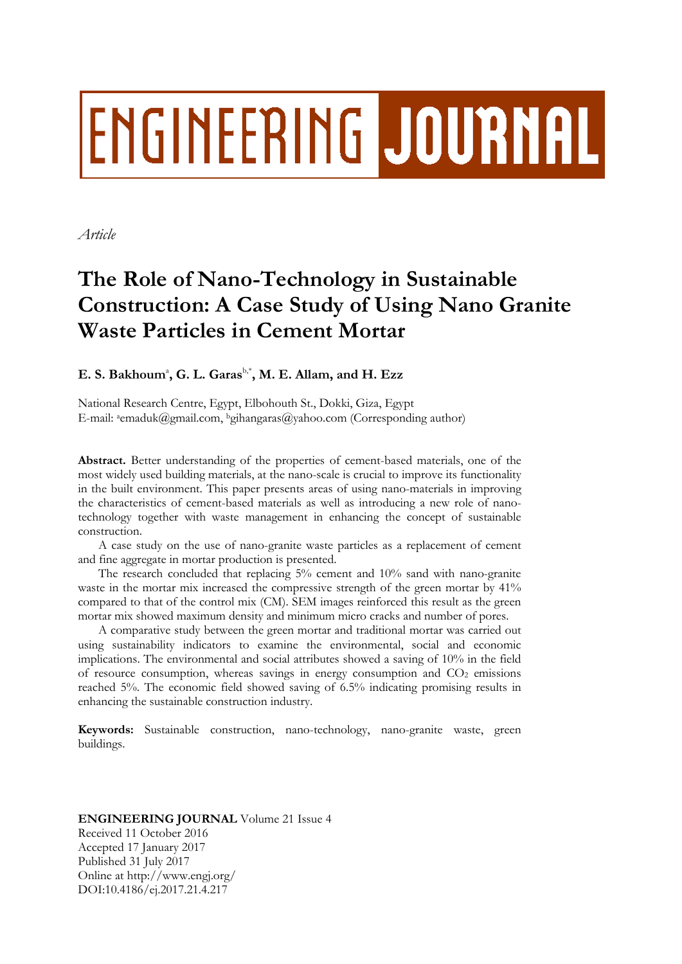# ENGINEERING JOURNAL

*Article*

# **The Role of Nano-Technology in Sustainable Construction: A Case Study of Using Nano Granite Waste Particles in Cement Mortar**

# $\mathbf{E. S. Bakhoum}$ <sup>2</sup>,  $\mathbf{G. L. Garas}^{\text{b,*}}, \mathbf{M. E. Allam, and H. Ezz}$

National Research Centre, Egypt, Elbohouth St., Dokki, Giza, Egypt E-mail: <sup>a</sup>emaduk@gmail.com, <sup>b</sup>gihangaras@yahoo.com (Corresponding author)

**Abstract.** Better understanding of the properties of cement-based materials, one of the most widely used building materials, at the nano-scale is crucial to improve its functionality in the built environment. This paper presents areas of using nano-materials in improving the characteristics of cement-based materials as well as introducing a new role of nanotechnology together with waste management in enhancing the concept of sustainable construction.

A case study on the use of nano-granite waste particles as a replacement of cement and fine aggregate in mortar production is presented.

The research concluded that replacing 5% cement and 10% sand with nano-granite waste in the mortar mix increased the compressive strength of the green mortar by 41% compared to that of the control mix (CM). SEM images reinforced this result as the green mortar mix showed maximum density and minimum micro cracks and number of pores.

A comparative study between the green mortar and traditional mortar was carried out using sustainability indicators to examine the environmental, social and economic implications. The environmental and social attributes showed a saving of 10% in the field of resource consumption, whereas savings in energy consumption and  $CO<sub>2</sub>$  emissions reached 5%. The economic field showed saving of 6.5% indicating promising results in enhancing the sustainable construction industry.

**Keywords:** Sustainable construction, nano-technology, nano-granite waste, green buildings.

# **ENGINEERING JOURNAL** Volume 21 Issue 4

Received 11 October 2016 Accepted 17 January 2017 Published 31 July 2017 Online at http://www.engj.org/ DOI:10.4186/ej.2017.21.4.217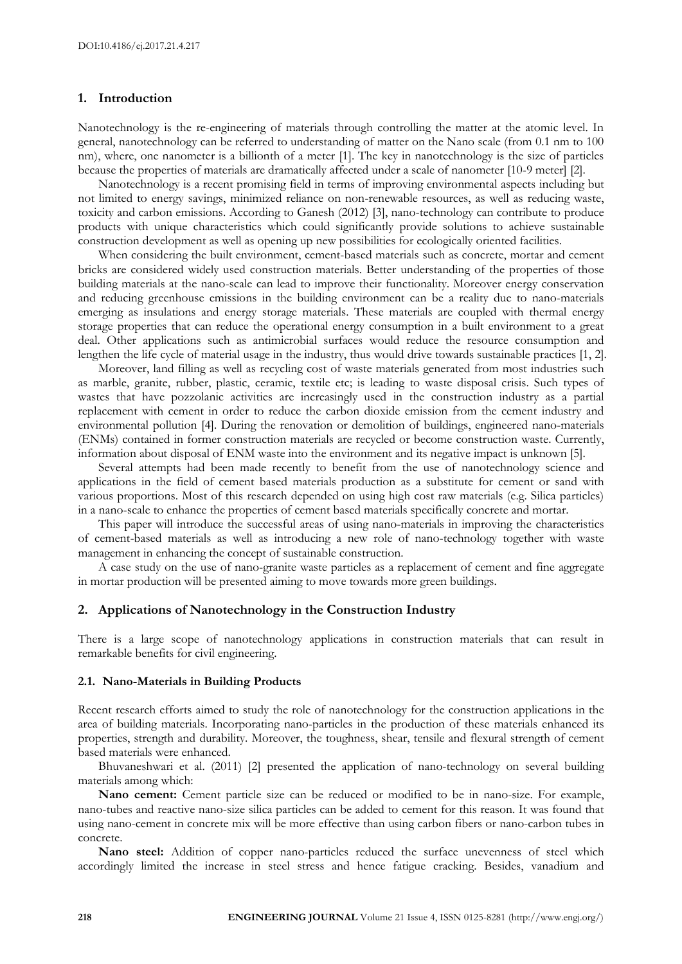# **1. Introduction**

Nanotechnology is the re-engineering of materials through controlling the matter at the atomic level. In general, nanotechnology can be referred to understanding of matter on the Nano scale (from 0.1 nm to 100 nm), where, one nanometer is a billionth of a meter [1]. The key in nanotechnology is the size of particles because the properties of materials are dramatically affected under a scale of nanometer [10-9 meter] [2].

Nanotechnology is a recent promising field in terms of improving environmental aspects including but not limited to energy savings, minimized reliance on non-renewable resources, as well as reducing waste, toxicity and carbon emissions. According to Ganesh (2012) [3], nano-technology can contribute to produce products with unique characteristics which could significantly provide solutions to achieve sustainable construction development as well as opening up new possibilities for ecologically oriented facilities.

When considering the built environment, cement-based materials such as concrete, mortar and cement bricks are considered widely used construction materials. Better understanding of the properties of those building materials at the nano-scale can lead to improve their functionality. Moreover energy conservation and reducing greenhouse emissions in the building environment can be a reality due to nano-materials emerging as insulations and energy storage materials. These materials are coupled with thermal energy storage properties that can reduce the operational energy consumption in a built environment to a great deal. Other applications such as antimicrobial surfaces would reduce the resource consumption and lengthen the life cycle of material usage in the industry, thus would drive towards sustainable practices [1, 2].

Moreover, land filling as well as recycling cost of waste materials generated from most industries such as marble, granite, rubber, plastic, ceramic, textile etc; is leading to waste disposal crisis. Such types of wastes that have pozzolanic activities are increasingly used in the construction industry as a partial replacement with cement in order to reduce the carbon dioxide emission from the cement industry and environmental pollution [4]. During the renovation or demolition of buildings, engineered nano-materials (ENMs) contained in former construction materials are recycled or become construction waste. Currently, information about disposal of ENM waste into the environment and its negative impact is unknown [5].

Several attempts had been made recently to benefit from the use of nanotechnology science and applications in the field of cement based materials production as a substitute for cement or sand with various proportions. Most of this research depended on using high cost raw materials (e.g. Silica particles) in a nano-scale to enhance the properties of cement based materials specifically concrete and mortar.

This paper will introduce the successful areas of using nano-materials in improving the characteristics of cement-based materials as well as introducing a new role of nano-technology together with waste management in enhancing the concept of sustainable construction.

A case study on the use of nano-granite waste particles as a replacement of cement and fine aggregate in mortar production will be presented aiming to move towards more green buildings.

# **2. Applications of Nanotechnology in the Construction Industry**

There is a large scope of nanotechnology applications in construction materials that can result in remarkable benefits for civil engineering.

# **2.1. Nano-Materials in Building Products**

Recent research efforts aimed to study the role of nanotechnology for the construction applications in the area of building materials. Incorporating nano-particles in the production of these materials enhanced its properties, strength and durability. Moreover, the toughness, shear, tensile and flexural strength of cement based materials were enhanced.

Bhuvaneshwari et al. (2011) [2] presented the application of nano-technology on several building materials among which:

**Nano cement:** Cement particle size can be reduced or modified to be in nano-size. For example, nano-tubes and reactive nano-size silica particles can be added to cement for this reason. It was found that using nano-cement in concrete mix will be more effective than using carbon fibers or nano-carbon tubes in concrete.

**Nano steel:** Addition of copper nano-particles reduced the surface unevenness of steel which accordingly limited the increase in steel stress and hence fatigue cracking. Besides, vanadium and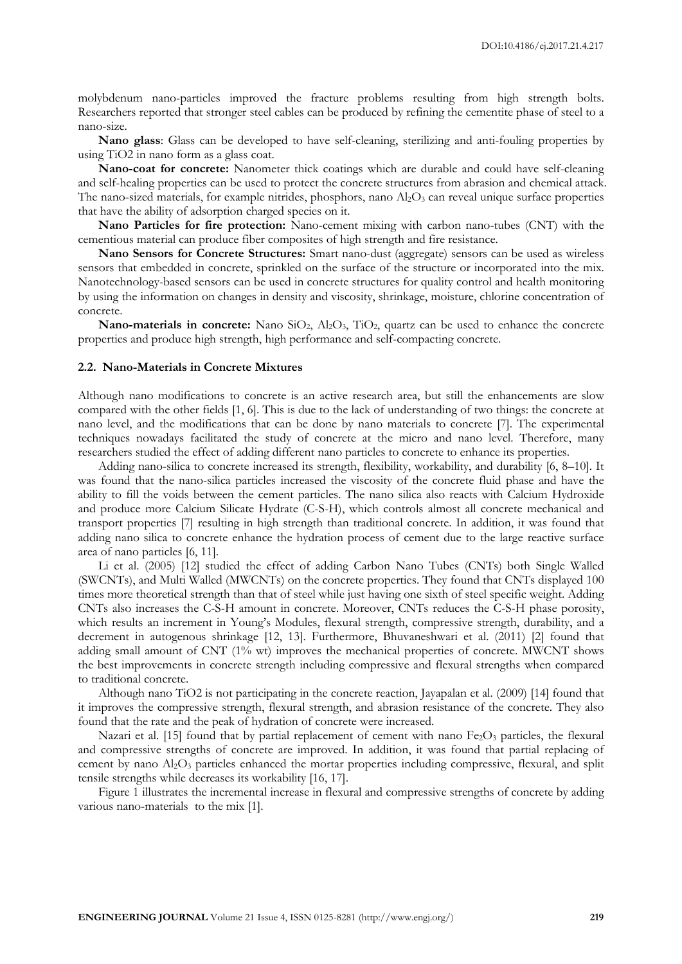molybdenum nano-particles improved the fracture problems resulting from high strength bolts. Researchers reported that stronger steel cables can be produced by refining the cementite phase of steel to a nano-size.

**Nano glass**: Glass can be developed to have self-cleaning, sterilizing and anti-fouling properties by using TiO2 in nano form as a glass coat.

**Nano-coat for concrete:** Nanometer thick coatings which are durable and could have self-cleaning and self-healing properties can be used to protect the concrete structures from abrasion and chemical attack. The nano-sized materials, for example nitrides, phosphors, nano  $Al_2O_3$  can reveal unique surface properties that have the ability of adsorption charged species on it.

**Nano Particles for fire protection:** Nano-cement mixing with carbon nano-tubes (CNT) with the cementious material can produce fiber composites of high strength and fire resistance.

**Nano Sensors for Concrete Structures:** Smart nano-dust (aggregate) sensors can be used as wireless sensors that embedded in concrete, sprinkled on the surface of the structure or incorporated into the mix. Nanotechnology-based sensors can be used in concrete structures for quality control and health monitoring by using the information on changes in density and viscosity, shrinkage, moisture, chlorine concentration of concrete.

**Nano-materials in concrete:** Nano SiO2, Al2O3, TiO2, quartz can be used to enhance the concrete properties and produce high strength, high performance and self-compacting concrete.

#### **2.2. Nano-Materials in Concrete Mixtures**

Although nano modifications to concrete is an active research area, but still the enhancements are slow compared with the other fields [1, 6]. This is due to the lack of understanding of two things: the concrete at nano level, and the modifications that can be done by nano materials to concrete [7]. The experimental techniques nowadays facilitated the study of concrete at the micro and nano level. Therefore, many researchers studied the effect of adding different nano particles to concrete to enhance its properties.

Adding nano-silica to concrete increased its strength, flexibility, workability, and durability [6, 8–10]. It was found that the nano-silica particles increased the viscosity of the concrete fluid phase and have the ability to fill the voids between the cement particles. The nano silica also reacts with Calcium Hydroxide and produce more Calcium Silicate Hydrate (C-S-H), which controls almost all concrete mechanical and transport properties [7] resulting in high strength than traditional concrete. In addition, it was found that adding nano silica to concrete enhance the hydration process of cement due to the large reactive surface area of nano particles [6, 11].

Li et al. (2005) [12] studied the effect of adding Carbon Nano Tubes (CNTs) both Single Walled (SWCNTs), and Multi Walled (MWCNTs) on the concrete properties. They found that CNTs displayed 100 times more theoretical strength than that of steel while just having one sixth of steel specific weight. Adding CNTs also increases the C-S-H amount in concrete. Moreover, CNTs reduces the C-S-H phase porosity, which results an increment in Young's Modules, flexural strength, compressive strength, durability, and a decrement in autogenous shrinkage [12, 13]. Furthermore, Bhuvaneshwari et al. (2011) [2] found that adding small amount of CNT (1% wt) improves the mechanical properties of concrete. MWCNT shows the best improvements in concrete strength including compressive and flexural strengths when compared to traditional concrete.

Although nano TiO2 is not participating in the concrete reaction, Jayapalan et al. (2009) [14] found that it improves the compressive strength, flexural strength, and abrasion resistance of the concrete. They also found that the rate and the peak of hydration of concrete were increased.

Nazari et al. [15] found that by partial replacement of cement with nano  $Fe<sub>2</sub>O<sub>3</sub>$  particles, the flexural and compressive strengths of concrete are improved. In addition, it was found that partial replacing of cement by nano  $\text{Al}_2\text{O}_3$  particles enhanced the mortar properties including compressive, flexural, and split tensile strengths while decreases its workability [16, 17].

Figure 1 illustrates the incremental increase in flexural and compressive strengths of concrete by adding various nano-materials to the mix [1].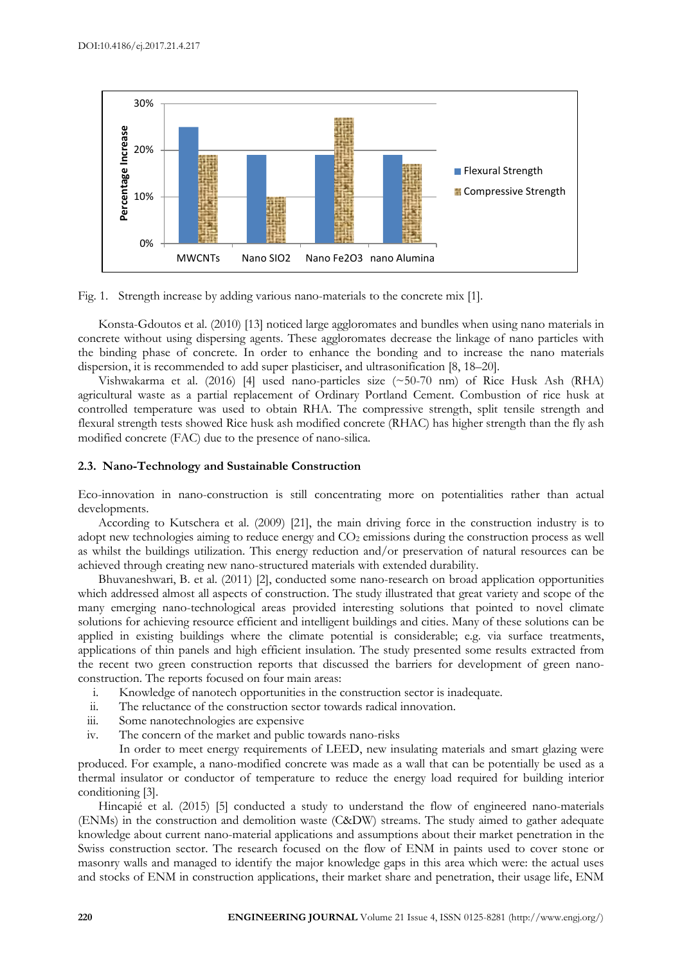

Fig. 1. Strength increase by adding various nano-materials to the concrete mix [1].

Konsta-Gdoutos et al. (2010) [13] noticed large aggloromates and bundles when using nano materials in concrete without using dispersing agents. These aggloromates decrease the linkage of nano particles with the binding phase of concrete. In order to enhance the bonding and to increase the nano materials dispersion, it is recommended to add super plasticiser, and ultrasonification [8, 18–20].

Vishwakarma et al. (2016) [4] used nano-particles size (~50-70 nm) of Rice Husk Ash (RHA) agricultural waste as a partial replacement of Ordinary Portland Cement. Combustion of rice husk at controlled temperature was used to obtain RHA. The compressive strength, split tensile strength and flexural strength tests showed Rice husk ash modified concrete (RHAC) has higher strength than the fly ash modified concrete (FAC) due to the presence of nano-silica.

# **2.3. Nano-Technology and Sustainable Construction**

Eco-innovation in nano-construction is still concentrating more on potentialities rather than actual developments.

According to Kutschera et al. (2009) [21], the main driving force in the construction industry is to adopt new technologies aiming to reduce energy and  $CO<sub>2</sub>$  emissions during the construction process as well as whilst the buildings utilization. This energy reduction and/or preservation of natural resources can be achieved through creating new nano-structured materials with extended durability.

Bhuvaneshwari, B. et al. (2011) [2], conducted some nano-research on broad application opportunities which addressed almost all aspects of construction. The study illustrated that great variety and scope of the many emerging nano-technological areas provided interesting solutions that pointed to novel climate solutions for achieving resource efficient and intelligent buildings and cities. Many of these solutions can be applied in existing buildings where the climate potential is considerable; e.g. via surface treatments, applications of thin panels and high efficient insulation. The study presented some results extracted from the recent two green construction reports that discussed the barriers for development of green nanoconstruction. The reports focused on four main areas:

- i. Knowledge of nanotech opportunities in the construction sector is inadequate.
- ii. The reluctance of the construction sector towards radical innovation.
- iii. Some nanotechnologies are expensive
- iv. The concern of the market and public towards nano-risks

In order to meet energy requirements of LEED, new insulating materials and smart glazing were produced. For example, a nano-modified concrete was made as a wall that can be potentially be used as a thermal insulator or conductor of temperature to reduce the energy load required for building interior conditioning [3].

Hincapié et al. (2015) [5] conducted a study to understand the flow of engineered nano-materials (ENMs) in the construction and demolition waste (C&DW) streams. The study aimed to gather adequate knowledge about current nano-material applications and assumptions about their market penetration in the Swiss construction sector. The research focused on the flow of ENM in paints used to cover stone or masonry walls and managed to identify the major knowledge gaps in this area which were: the actual uses and stocks of ENM in construction applications, their market share and penetration, their usage life, ENM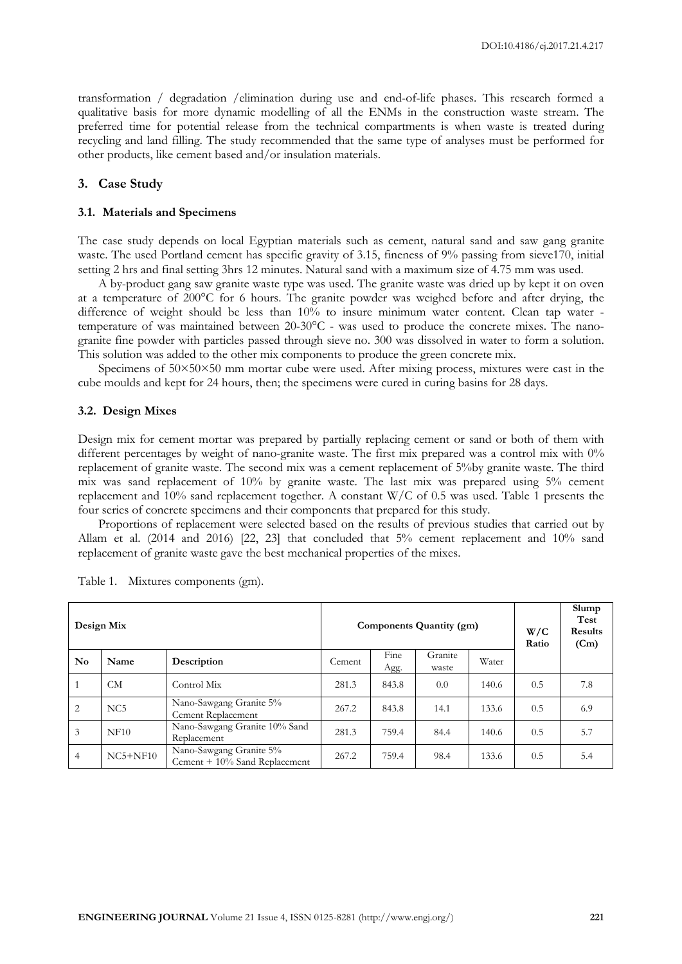transformation / degradation /elimination during use and end-of-life phases. This research formed a qualitative basis for more dynamic modelling of all the ENMs in the construction waste stream. The preferred time for potential release from the technical compartments is when waste is treated during recycling and land filling. The study recommended that the same type of analyses must be performed for other products, like cement based and/or insulation materials.

# **3. Case Study**

#### **3.1. Materials and Specimens**

The case study depends on local Egyptian materials such as cement, natural sand and saw gang granite waste. The used Portland cement has specific gravity of 3.15, fineness of 9% passing from sieve170, initial setting 2 hrs and final setting 3hrs 12 minutes. Natural sand with a maximum size of 4.75 mm was used.

A by-product gang saw granite waste type was used. The granite waste was dried up by kept it on oven at a temperature of 200°C for 6 hours. The granite powder was weighed before and after drying, the difference of weight should be less than 10% to insure minimum water content. Clean tap water temperature of was maintained between 20-30°C - was used to produce the concrete mixes. The nanogranite fine powder with particles passed through sieve no. 300 was dissolved in water to form a solution. This solution was added to the other mix components to produce the green concrete mix.

Specimens of  $50\times50\times50$  mm mortar cube were used. After mixing process, mixtures were cast in the cube moulds and kept for 24 hours, then; the specimens were cured in curing basins for 28 days.

#### **3.2. Design Mixes**

Design mix for cement mortar was prepared by partially replacing cement or sand or both of them with different percentages by weight of nano-granite waste. The first mix prepared was a control mix with 0% replacement of granite waste. The second mix was a cement replacement of 5%by granite waste. The third mix was sand replacement of 10% by granite waste. The last mix was prepared using 5% cement replacement and 10% sand replacement together. A constant W/C of 0.5 was used. Table 1 presents the four series of concrete specimens and their components that prepared for this study.

Proportions of replacement were selected based on the results of previous studies that carried out by Allam et al. (2014 and 2016) [22, 23] that concluded that 5% cement replacement and 10% sand replacement of granite waste gave the best mechanical properties of the mixes.

| Design Mix             |                 |                                                                    |       | Components Quantity (gm) | W/C<br>Ratio | Slump<br>Test<br><b>Results</b><br>(Cm) |     |     |
|------------------------|-----------------|--------------------------------------------------------------------|-------|--------------------------|--------------|-----------------------------------------|-----|-----|
| $\mathbf{N}\mathbf{o}$ | Name            | Granite<br>Fine<br>Water<br>Description<br>Cement<br>Agg.<br>waste |       |                          |              |                                         |     |     |
|                        | CМ              | Control Mix                                                        | 281.3 | 843.8                    | 0.0          | 140.6                                   | 0.5 | 7.8 |
| 2                      | NC <sub>5</sub> | Nano-Sawgang Granite 5%<br>Cement Replacement                      | 267.2 | 843.8                    | 14.1         | 133.6                                   | 0.5 | 6.9 |
| 3                      | NF10            | Nano-Sawgang Granite 10% Sand<br>Replacement                       | 281.3 | 759.4                    | 84.4         | 140.6                                   | 0.5 | 5.7 |
| $\overline{4}$         | $NC5+NF10$      | Nano-Sawgang Granite 5%<br>Cement $+10\%$ Sand Replacement         | 267.2 | 759.4                    | 98.4         | 133.6                                   | 0.5 | 5.4 |

Table 1. Mixtures components (gm).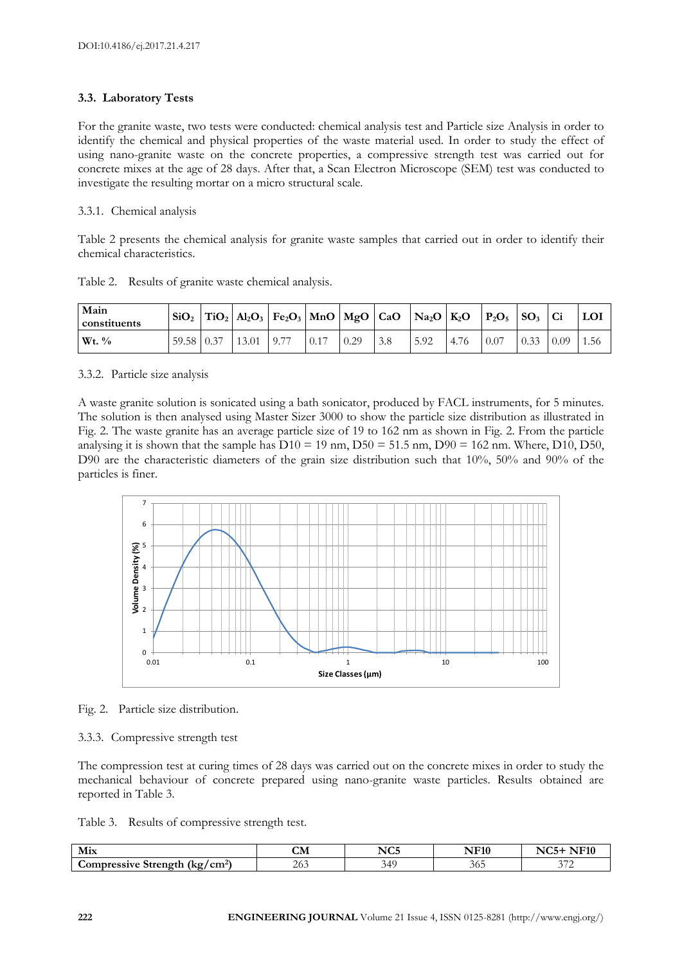# **3.3. Laboratory Tests**

For the granite waste, two tests were conducted: chemical analysis test and Particle size Analysis in order to identify the chemical and physical properties of the waste material used. In order to study the effect of using nano-granite waste on the concrete properties, a compressive strength test was carried out for concrete mixes at the age of 28 days. After that, a Scan Electron Microscope (SEM) test was conducted to investigate the resulting mortar on a micro structural scale.

# 3.3.1. Chemical analysis

Table 2 presents the chemical analysis for granite waste samples that carried out in order to identify their chemical characteristics.

|  |  |  |  | Table 2. Results of granite waste chemical analysis. |
|--|--|--|--|------------------------------------------------------|
|--|--|--|--|------------------------------------------------------|

| Main<br>constituents | SiO <sub>2</sub> |       | $ {\rm TiO}_2 $ Al <sub>2</sub> O <sub>3</sub> $ {\rm Fe}_2O_3 $ MnO $ {\rm MgO} $ CaO $ {\rm Na}_2O $ K <sub>2</sub> O |      |      |      | $P_2O_5$ $SO_3$ |      |      |      |
|----------------------|------------------|-------|-------------------------------------------------------------------------------------------------------------------------|------|------|------|-----------------|------|------|------|
| $Wt.$ %              | 59.58 0.37       | 13.01 | 9.77                                                                                                                    | 0.29 | 5.92 | 4.76 | 0.07            | 0.33 | 0.09 | 1.56 |

3.3.2. Particle size analysis

A waste granite solution is sonicated using a bath sonicator, produced by FACL instruments, for 5 minutes. The solution is then analysed using Master Sizer 3000 to show the particle size distribution as illustrated in Fig. 2. The waste granite has an average particle size of 19 to 162 nm as shown in Fig. 2. From the particle analysing it is shown that the sample has  $D10 = 19$  nm,  $D50 = 51.5$  nm,  $D90 = 162$  nm. Where,  $D10$ ,  $D50$ , D90 are the characteristic diameters of the grain size distribution such that 10%, 50% and 90% of the particles is finer.



Fig. 2. Particle size distribution.

# 3.3.3. Compressive strength test

The compression test at curing times of 28 days was carried out on the concrete mixes in order to study the mechanical behaviour of concrete prepared using nano-granite waste particles. Results obtained are reported in Table 3.

Table 3. Results of compressive strength test.

| Mix                                                | ~--<br>ᇖ | $T^{\sim}$<br>NU5 | <b>TTMO</b><br>πч |                               |
|----------------------------------------------------|----------|-------------------|-------------------|-------------------------------|
| `omnressive<br>/cm <sup>2</sup><br>Strength<br>(ko | $\angle$ |                   | эo.               | $\sim$ $\sim$ $\sim$<br>∸<br> |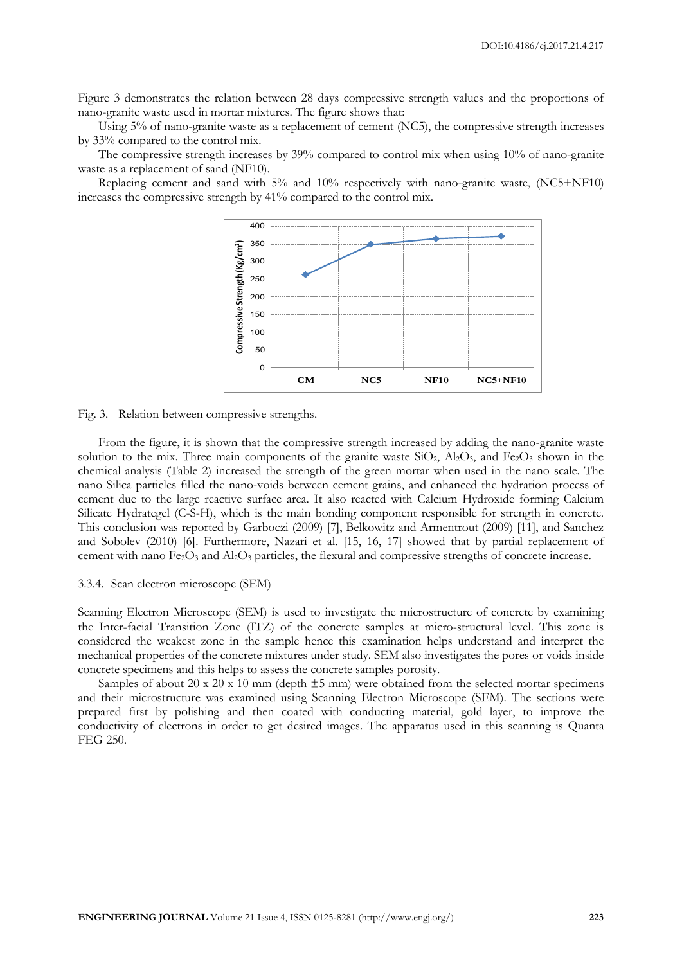Figure 3 demonstrates the relation between 28 days compressive strength values and the proportions of nano-granite waste used in mortar mixtures. The figure shows that:

Using 5% of nano-granite waste as a replacement of cement (NC5), the compressive strength increases by 33% compared to the control mix.

The compressive strength increases by 39% compared to control mix when using 10% of nano-granite waste as a replacement of sand (NF10).

Replacing cement and sand with 5% and 10% respectively with nano-granite waste, (NC5+NF10) increases the compressive strength by 41% compared to the control mix.



Fig. 3. Relation between compressive strengths.

From the figure, it is shown that the compressive strength increased by adding the nano-granite waste solution to the mix. Three main components of the granite waste  $SiO_2$ ,  $Al_2O_3$ , and  $Fe_2O_3$  shown in the chemical analysis (Table 2) increased the strength of the green mortar when used in the nano scale. The nano Silica particles filled the nano-voids between cement grains, and enhanced the hydration process of cement due to the large reactive surface area. It also reacted with Calcium Hydroxide forming Calcium Silicate Hydrategel (C-S-H), which is the main bonding component responsible for strength in concrete. This conclusion was reported by Garboczi (2009) [7], Belkowitz and Armentrout (2009) [11], and Sanchez and Sobolev (2010) [6]. Furthermore, Nazari et al. [15, 16, 17] showed that by partial replacement of cement with nano  $Fe<sub>2</sub>O<sub>3</sub>$  and  $Al<sub>2</sub>O<sub>3</sub>$  particles, the flexural and compressive strengths of concrete increase.

#### 3.3.4. Scan electron microscope (SEM)

Scanning Electron Microscope (SEM) is used to investigate the microstructure of concrete by examining the Inter-facial Transition Zone (ITZ) of the concrete samples at micro-structural level. This zone is considered the weakest zone in the sample hence this examination helps understand and interpret the mechanical properties of the concrete mixtures under study. SEM also investigates the pores or voids inside concrete specimens and this helps to assess the concrete samples porosity.

Samples of about 20 x 20 x 10 mm (depth  $\pm$ 5 mm) were obtained from the selected mortar specimens and their microstructure was examined using Scanning Electron Microscope (SEM). The sections were prepared first by polishing and then coated with conducting material, gold layer, to improve the conductivity of electrons in order to get desired images. The apparatus used in this scanning is Quanta FEG 250.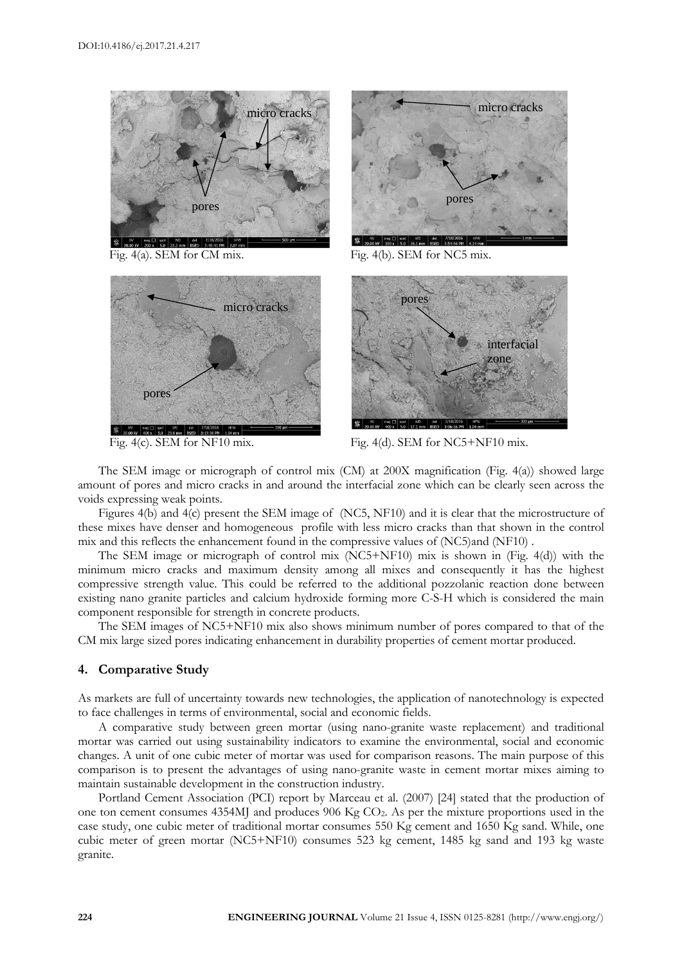





Fig. 4(a). SEM for CM mix. Fig. 4(b). SEM for NC5 mix.



Fig. 4(c). SEM for NF10 mix. Fig. 4(d). SEM for NC5+NF10 mix.

The SEM image or micrograph of control mix (CM) at 200X magnification (Fig. 4(a)) showed large amount of pores and micro cracks in and around the interfacial zone which can be clearly seen across the voids expressing weak points.

Figures 4(b) and 4(c) present the SEM image of (NC5, NF10) and it is clear that the microstructure of these mixes have denser and homogeneous profile with less micro cracks than that shown in the control mix and this reflects the enhancement found in the compressive values of (NC5)and (NF10) .

The SEM image or micrograph of control mix (NC5+NF10) mix is shown in (Fig. 4(d)) with the minimum micro cracks and maximum density among all mixes and consequently it has the highest compressive strength value. This could be referred to the additional pozzolanic reaction done between existing nano granite particles and calcium hydroxide forming more C-S-H which is considered the main component responsible for strength in concrete products.

The SEM images of NC5+NF10 mix also shows minimum number of pores compared to that of the CM mix large sized pores indicating enhancement in durability properties of cement mortar produced.

# **4. Comparative Study**

As markets are full of uncertainty towards new technologies, the application of nanotechnology is expected to face challenges in terms of environmental, social and economic fields.

A comparative study between green mortar (using nano-granite waste replacement) and traditional mortar was carried out using sustainability indicators to examine the environmental, social and economic changes. A unit of one cubic meter of mortar was used for comparison reasons. The main purpose of this comparison is to present the advantages of using nano-granite waste in cement mortar mixes aiming to maintain sustainable development in the construction industry.

Portland Cement Association (PCI) report by Marceau et al. (2007) [24] stated that the production of one ton cement consumes  $4354M$  and produces  $906$  Kg CO<sub>2</sub>. As per the mixture proportions used in the case study, one cubic meter of traditional mortar consumes 550 Kg cement and 1650 Kg sand. While, one cubic meter of green mortar (NC5+NF10) consumes 523 kg cement, 1485 kg sand and 193 kg waste granite.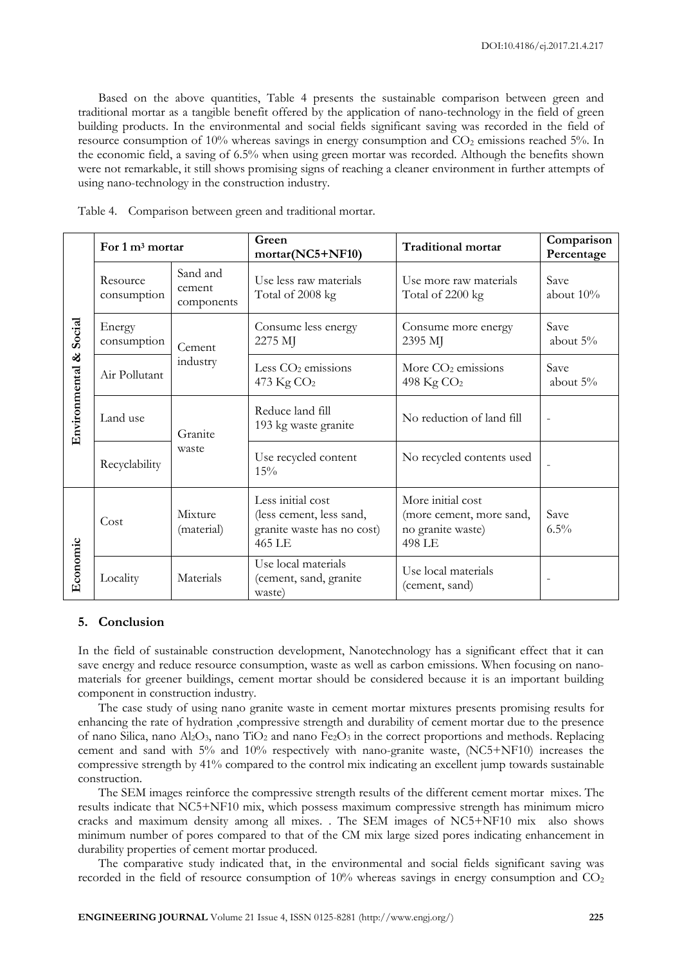Based on the above quantities, Table 4 presents the sustainable comparison between green and traditional mortar as a tangible benefit offered by the application of nano-technology in the field of green building products. In the environmental and social fields significant saving was recorded in the field of resource consumption of  $10\%$  whereas savings in energy consumption and  $CO<sub>2</sub>$  emissions reached 5%. In the economic field, a saving of 6.5% when using green mortar was recorded. Although the benefits shown were not remarkable, it still shows promising signs of reaching a cleaner environment in further attempts of using nano-technology in the construction industry.

|                           | For 1 m <sup>3</sup> mortar |                                  | Green<br>mortar(NC5+NF10)                                                             | <b>Traditional mortar</b>                                                    | Comparison<br>Percentage |
|---------------------------|-----------------------------|----------------------------------|---------------------------------------------------------------------------------------|------------------------------------------------------------------------------|--------------------------|
| Social<br>Environmental & | Resource<br>consumption     | Sand and<br>cement<br>components | Use less raw materials<br>Total of 2008 kg                                            | Use more raw materials<br>Total of 2200 kg                                   | Save<br>about $10\%$     |
|                           | Energy<br>consumption       | Cement                           | Consume less energy<br>2275 MJ                                                        | Consume more energy<br>2395 MJ                                               | Save<br>about 5%         |
|                           | Air Pollutant               | industry                         | Less $CO2$ emissions<br>473 Kg CO <sub>2</sub>                                        | More CO <sub>2</sub> emissions<br>498 Kg CO <sub>2</sub>                     | Save<br>about 5%         |
|                           | Land use                    | Granite                          | Reduce land fill<br>193 kg waste granite                                              | No reduction of land fill                                                    | $\overline{\phantom{0}}$ |
|                           | Recyclability               | waste                            | Use recycled content<br>15%                                                           | No recycled contents used                                                    |                          |
| Economic                  | Cost                        | Mixture<br>(material)            | Less initial cost<br>(less cement, less sand,<br>granite waste has no cost)<br>465 LE | More initial cost<br>(more cement, more sand,<br>no granite waste)<br>498 LE | Save<br>$6.5\%$          |
|                           | Locality                    | Materials                        | Use local materials<br>(cement, sand, granite<br>waste)                               | Use local materials<br>(cement, sand)                                        |                          |

Table 4. Comparison between green and traditional mortar.

# **5. Conclusion**

In the field of sustainable construction development, Nanotechnology has a significant effect that it can save energy and reduce resource consumption, waste as well as carbon emissions. When focusing on nanomaterials for greener buildings, cement mortar should be considered because it is an important building component in construction industry.

The case study of using nano granite waste in cement mortar mixtures presents promising results for enhancing the rate of hydration ,compressive strength and durability of cement mortar due to the presence of nano Silica, nano  $\text{Al}_2\text{O}_3$ , nano  $\text{TiO}_2$  and nano  $\text{Fe}_2\text{O}_3$  in the correct proportions and methods. Replacing cement and sand with 5% and 10% respectively with nano-granite waste, (NC5+NF10) increases the compressive strength by 41% compared to the control mix indicating an excellent jump towards sustainable construction.

The SEM images reinforce the compressive strength results of the different cement mortar mixes. The results indicate that NC5+NF10 mix, which possess maximum compressive strength has minimum micro cracks and maximum density among all mixes. . The SEM images of NC5+NF10 mix also shows minimum number of pores compared to that of the CM mix large sized pores indicating enhancement in durability properties of cement mortar produced.

The comparative study indicated that, in the environmental and social fields significant saving was recorded in the field of resource consumption of 10% whereas savings in energy consumption and CO<sub>2</sub>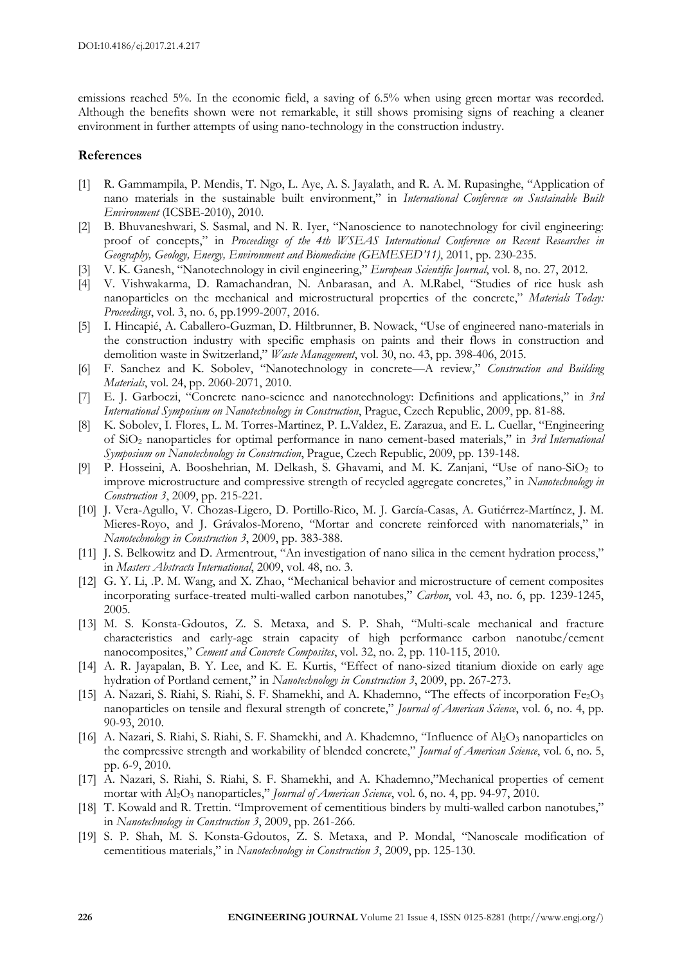emissions reached 5%. In the economic field, a saving of 6.5% when using green mortar was recorded. Although the benefits shown were not remarkable, it still shows promising signs of reaching a cleaner environment in further attempts of using nano-technology in the construction industry.

#### **References**

- [1] R. Gammampila, P. Mendis, T. Ngo, L. Aye, A. S. Jayalath, and R. A. M. Rupasinghe, "Application of nano materials in the sustainable built environment," in *International Conference on Sustainable Built Environment* (ICSBE-2010), 2010.
- [2] B. Bhuvaneshwari, S. Sasmal, and N. R. Iyer, "Nanoscience to nanotechnology for civil engineering: proof of concepts," in *Proceedings of the 4th WSEAS International Conference on Recent Researches in Geography, Geology, Energy, Environment and Biomedicine (GEMESED'11)*, 2011, pp. 230-235.
- [3] V. K. Ganesh, "Nanotechnology in civil engineering," *European Scientific Journal*, vol. 8, no. 27, 2012.
- [4] V. Vishwakarma, D. Ramachandran, N. Anbarasan, and A. M.Rabel, "Studies of rice husk ash nanoparticles on the mechanical and microstructural properties of the concrete," *Materials Today: Proceedings*, vol. 3, no. 6, pp.1999-2007, 2016.
- [5] I. Hincapié, A. Caballero-Guzman, D. Hiltbrunner, B. Nowack, "Use of engineered nano-materials in the construction industry with specific emphasis on paints and their flows in construction and demolition waste in Switzerland," *Waste Management*, vol. 30, no. 43, pp. 398-406, 2015.
- [6] F. Sanchez and K. Sobolev, "Nanotechnology in concrete—A review," *Construction and Building Materials*, vol. 24, pp. 2060-2071, 2010.
- [7] E. J. Garboczi, "Concrete nano-science and nanotechnology: Definitions and applications," in *3rd International Symposium on Nanotechnology in Construction*, Prague, Czech Republic, 2009, pp. 81-88.
- [8] K. Sobolev, I. Flores, L. M. Torres-Martinez, P. L.Valdez, E. Zarazua, and E. L. Cuellar, "Engineering of SiO<sup>2</sup> nanoparticles for optimal performance in nano cement-based materials," in *3rd International Symposium on Nanotechnology in Construction*, Prague, Czech Republic, 2009, pp. 139-148.
- [9] P. Hosseini, A. Booshehrian, M. Delkash, S. Ghavami, and M. K. Zanjani, "Use of nano-SiO<sup>2</sup> to improve microstructure and compressive strength of recycled aggregate concretes," in *Nanotechnology in Construction 3*, 2009, pp. 215-221.
- [10] J. Vera-Agullo, V. Chozas-Ligero, D. Portillo-Rico, M. J. García-Casas, A. Gutiérrez-Martínez, J. M. Mieres-Royo, and J. Grávalos-Moreno, "Mortar and concrete reinforced with nanomaterials," in *Nanotechnology in Construction 3*, 2009, pp. 383-388.
- [11] J. S. Belkowitz and D. Armentrout, "An investigation of nano silica in the cement hydration process," in *Masters Abstracts International*, 2009, vol. 48, no. 3.
- [12] G. Y. Li, .P. M. Wang, and X. Zhao, "Mechanical behavior and microstructure of cement composites incorporating surface-treated multi-walled carbon nanotubes," *Carbon*, vol. 43, no. 6, pp. 1239-1245, 2005.
- [13] M. S. Konsta-Gdoutos, Z. S. Metaxa, and S. P. Shah, "Multi-scale mechanical and fracture characteristics and early-age strain capacity of high performance carbon nanotube/cement nanocomposites," *Cement and Concrete Composites*, vol. 32, no. 2, pp. 110-115, 2010.
- [14] A. R. Jayapalan, B. Y. Lee, and K. E. Kurtis, "Effect of nano-sized titanium dioxide on early age hydration of Portland cement," in *Nanotechnology in Construction 3*, 2009, pp. 267-273.
- [15] A. Nazari, S. Riahi, S. Riahi, S. F. Shamekhi, and A. Khademno, "The effects of incorporation Fe<sub>2</sub>O<sub>3</sub> nanoparticles on tensile and flexural strength of concrete," *Journal of American Science*, vol. 6, no. 4, pp. 90-93, 2010.
- [16] A. Nazari, S. Riahi, S. Riahi, S. F. Shamekhi, and A. Khademno, "Influence of  $\text{Al}_2\text{O}_3$  nanoparticles on the compressive strength and workability of blended concrete," *Journal of American Science*, vol. 6, no. 5, pp. 6-9, 2010.
- [17] A. Nazari, S. Riahi, S. Riahi, S. F. Shamekhi, and A. Khademno,"Mechanical properties of cement mortar with Al2O<sup>3</sup> nanoparticles," *Journal of American Science*, vol. 6, no. 4, pp. 94-97, 2010.
- [18] T. Kowald and R. Trettin. "Improvement of cementitious binders by multi-walled carbon nanotubes," in *Nanotechnology in Construction 3*, 2009, pp. 261-266.
- [19] S. P. Shah, M. S. Konsta-Gdoutos, Z. S. Metaxa, and P. Mondal, "Nanoscale modification of cementitious materials," in *Nanotechnology in Construction 3*, 2009, pp. 125-130.